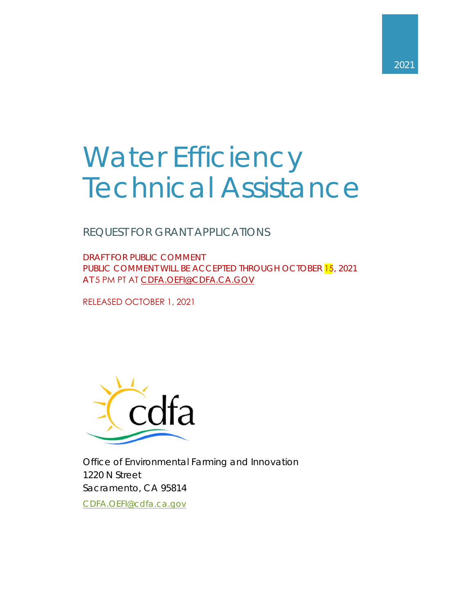# Water Efficiency Technical Assistance

REQUEST FOR GRANT APPLICATIONS

DRAFT FOR PUBLIC COMMENT PUBLIC COMMENT WILL BE ACCEPTED THROUGH OCTOBER 15, 2021 AT 5 PM PT AT CDFA.OEFI@CDFA.CA.GOV

RELEASED OCTOBER 1, 2021



Office of Environmental Farming and Innovation 1220 N Street Sacramento, CA 95814

CDFA.OEFI@cdfa.ca.gov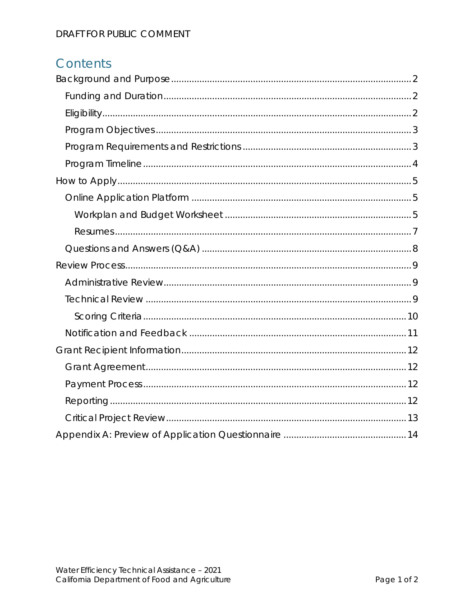## Contents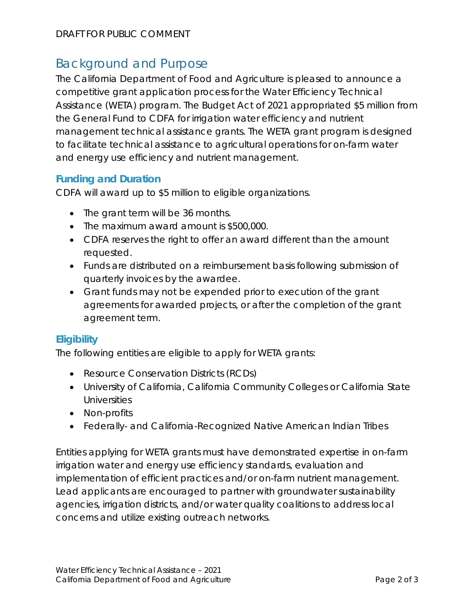## Background and Purpose

 and energy use efficiency and nutrient management. The California Department of Food and Agriculture is pleased to announce a competitive grant application process for the Water Efficiency Technical Assistance (WETA) program. The Budget Act of 2021 appropriated \$5 million from the General Fund to CDFA for irrigation water efficiency and nutrient management technical assistance grants. The WETA grant program is designed to facilitate technical assistance to agricultural operations for on-farm water

#### **Funding and Duration**

CDFA will award up to \$5 million to eligible organizations.

- The grant term will be 36 months.
- The maximum award amount is \$500,000.
- CDFA reserves the right to offer an award different than the amount requested.
- Funds are distributed on a reimbursement basis following submission of quarterly invoices by the awardee.
- Grant funds may not be expended prior to execution of the grant agreements for awarded projects, or after the completion of the grant agreement term.

#### **Eligibility**

The following entities are eligible to apply for WETA grants:

- Resource Conservation Districts (RCDs)
- University of California, California Community Colleges or California State **Universities**
- Non-profits
- Federally- and California-Recognized Native American Indian Tribes

Entities applying for WETA grants must have demonstrated expertise in on-farm irrigation water and energy use efficiency standards, evaluation and implementation of efficient practices and/or on-farm nutrient management. Lead applicants are encouraged to partner with groundwater sustainability agencies, irrigation districts, and/or water quality coalitions to address local concerns and utilize existing outreach networks.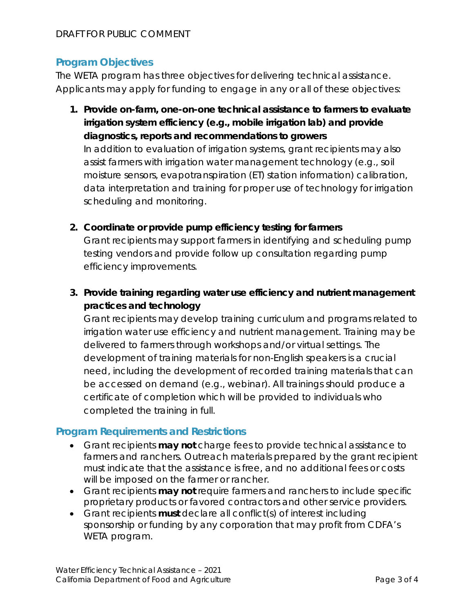#### **Program Objectives**

The WETA program has three objectives for delivering technical assistance. Applicants may apply for funding to engage in any or all of these objectives:

**1. Provide on-farm, one-on-one technical assistance to farmers to evaluate irrigation system efficiency (e.g., mobile irrigation lab) and provide diagnostics, reports and recommendations to growers**

In addition to evaluation of irrigation systems, grant recipients may also assist farmers with irrigation water management technology (e.g., soil moisture sensors, evapotranspiration (ET) station information) calibration, data interpretation and training for proper use of technology for irrigation scheduling and monitoring.

**2. Coordinate or provide pump efficiency testing for farmers**

Grant recipients may support farmers in identifying and scheduling pump testing vendors and provide follow up consultation regarding pump efficiency improvements.

**3. Provide training regarding water use efficiency and nutrient management practices and technology**

Grant recipients may develop training curriculum and programs related to irrigation water use efficiency and nutrient management. Training may be delivered to farmers through workshops and/or virtual settings. The development of training materials for non-English speakers is a crucial need, including the development of recorded training materials that can be accessed on demand (e.g., webinar). All trainings should produce a certificate of completion which will be provided to individuals who completed the training in full.

#### **Program Requirements and Restrictions**

- Grant recipients **may not** charge fees to provide technical assistance to farmers and ranchers. Outreach materials prepared by the grant recipient must indicate that the assistance is free, and no additional fees or costs will be imposed on the farmer or rancher.
- Grant recipients **may not** require farmers and ranchers to include specific proprietary products or favored contractors and other service providers.
- Grant recipients **must** declare all conflict(s) of interest including sponsorship or funding by any corporation that may profit from CDFA's WETA program.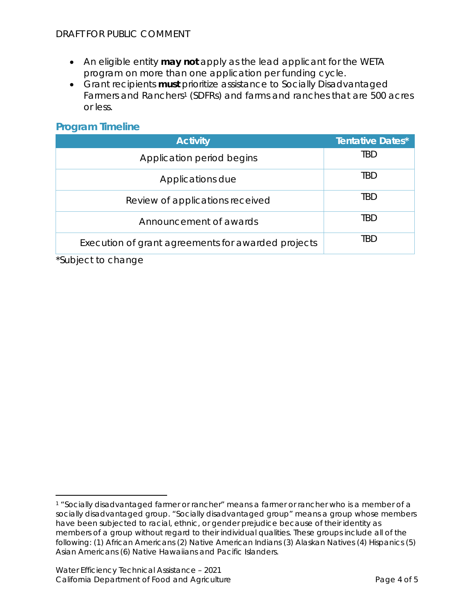- An eligible entity **may not** apply as the lead applicant for the WETA program on more than one application per funding cycle.
- Grant recipients **must** prioritize assistance to Socially Disadvantaged Farmers and Ranchers<sup>1</sup> (SDFRs) and farms and ranches that are 500 acres or less.

#### **Program Timeline**

| <b>Activity</b>                                    | <b>Tentative Dates*</b> |
|----------------------------------------------------|-------------------------|
| Application period begins                          | tbd                     |
| Applications due                                   | TBD                     |
| Review of applications received                    | TBD                     |
| Announcement of awards                             | tbd                     |
| Execution of grant agreements for awarded projects | TRD                     |

\*Subject to change

 members of a group without regard to their individual qualities. These groups include all of the 1 "Socially disadvantaged farmer or rancher" means a farmer or rancher who is a member of a socially disadvantaged group. "Socially disadvantaged group" means a group whose members have been subjected to racial, ethnic, or gender prejudice because of their identity as following: (1) African Americans (2) Native American Indians (3) Alaskan Natives (4) Hispanics (5) Asian Americans (6) Native Hawaiians and Pacific Islanders.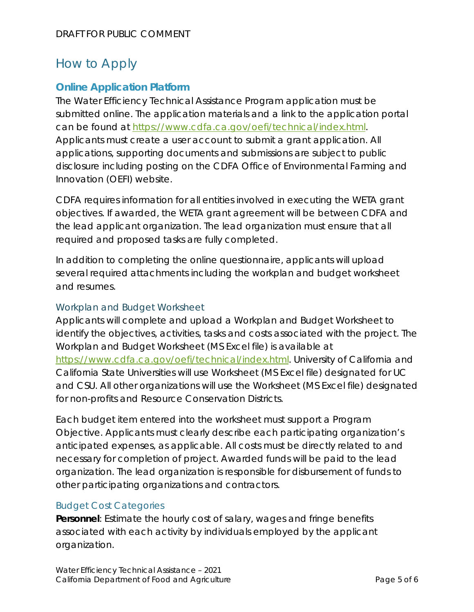## How to Apply

#### **Online Application Platform**

The Water Efficiency Technical Assistance Program application must be submitted online. The application materials and a link to the application portal can be found at https://www.cdfa.ca.gov/oefi/technical/index.html. Applicants must create a user account to submit a grant application. All applications, supporting documents and submissions are subject to public disclosure including posting on the CDFA Office of Environmental Farming and Innovation (OEFI) website.

CDFA requires information for all entities involved in executing the WETA grant objectives. If awarded, the WETA grant agreement will be between CDFA and the lead applicant organization. The lead organization must ensure that all required and proposed tasks are fully completed.

In addition to completing the online questionnaire, applicants will upload several required attachments including the workplan and budget worksheet and resumes.

#### Workplan and Budget Worksheet

Applicants will complete and upload a Workplan and Budget Worksheet to identify the objectives, activities, tasks and costs associated with the project. The Workplan and Budget Worksheet (MS Excel file) is available at https://www.cdfa.ca.gov/oefi/technical/index.html. University of California and California State Universities will use Worksheet (MS Excel file) designated for UC and CSU. All other organizations will use the Worksheet (MS Excel file) designated for non-profits and Resource Conservation Districts.

Each budget item entered into the worksheet must support a Program Objective. Applicants must clearly describe each participating organization's anticipated expenses, as applicable. All costs must be directly related to and necessary for completion of project. Awarded funds will be paid to the lead organization. The lead organization is responsible for disbursement of funds to other participating organizations and contractors.

#### Budget Cost Categories

**Personnel**: Estimate the hourly cost of salary, wages and fringe benefits associated with each activity by individuals employed by the applicant organization.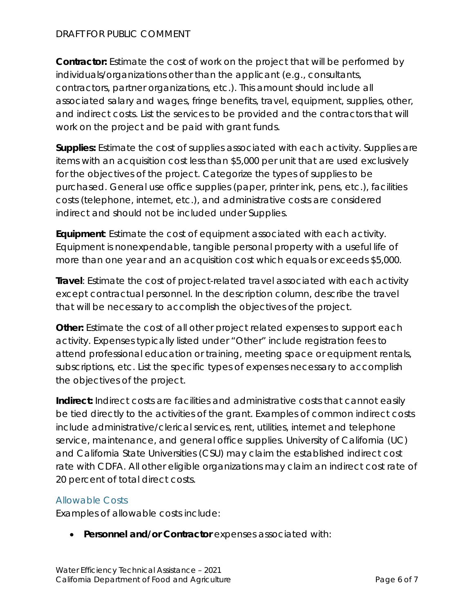#### DRAFT FOR PUBLIC COMMENT

**Contractor:** Estimate the cost of work on the project that will be performed by individuals/organizations other than the applicant (e.g., consultants, contractors, partner organizations, etc.). This amount should include all associated salary and wages, fringe benefits, travel, equipment, supplies, other, and indirect costs. List the services to be provided and the contractors that will work on the project and be paid with grant funds.

 indirect and should not be included under Supplies. **Supplies:** Estimate the cost of supplies associated with each activity. Supplies are items with an acquisition cost less than \$5,000 per unit that are used exclusively for the objectives of the project. Categorize the types of supplies to be purchased. General use office supplies (paper, printer ink, pens, etc.), facilities costs (telephone, internet, etc.), and administrative costs are considered

**Equipment**: Estimate the cost of equipment associated with each activity. Equipment is nonexpendable, tangible personal property with a useful life of more than one year and an acquisition cost which equals or exceeds \$5,000.

**Travel**: Estimate the cost of project-related travel associated with each activity except contractual personnel. In the description column, describe the travel that will be necessary to accomplish the objectives of the project.

**Other:** Estimate the cost of all other project related expenses to support each activity. Expenses typically listed under "Other" include registration fees to attend professional education or training, meeting space or equipment rentals, subscriptions, etc. List the specific types of expenses necessary to accomplish the objectives of the project.

**Indirect:** Indirect costs are facilities and administrative costs that cannot easily be tied directly to the activities of the grant. Examples of common indirect costs include administrative/clerical services, rent, utilities, internet and telephone service, maintenance, and general office supplies. University of California (UC) and California State Universities (CSU) may claim the established indirect cost rate with CDFA. All other eligible organizations may claim an indirect cost rate of 20 percent of total direct costs.

#### Allowable Costs

Examples of allowable costs include:

**Personnel and/or Contractor** expenses associated with: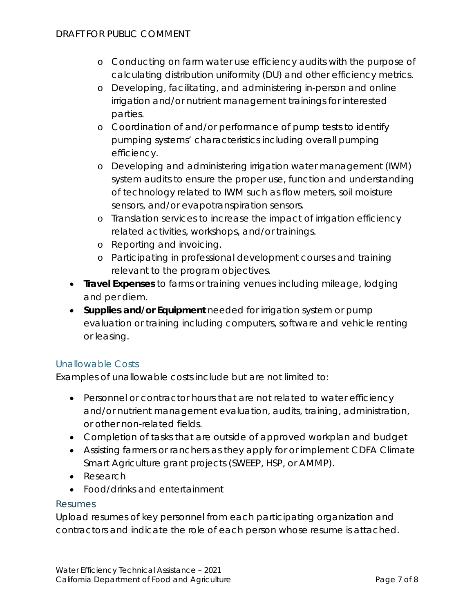- o Conducting on farm water use efficiency audits with the purpose of calculating distribution uniformity (DU) and other efficiency metrics.
- o Developing, facilitating, and administering in-person and online irrigation and/or nutrient management trainings for interested parties.
- o Coordination of and/or performance of pump tests to identify pumping systems' characteristics including overall pumping efficiency.
- o Developing and administering irrigation water management (IWM) system audits to ensure the proper use, function and understanding of technology related to IWM such as flow meters, soil moisture sensors, and/or evapotranspiration sensors.
- o Translation services to increase the impact of irrigation efficiency related activities, workshops, and/or trainings.
- o Reporting and invoicing.
- o Participating in professional development courses and training relevant to the program objectives.
- **Travel Expenses** to farms or training venues including mileage, lodging and per diem.
- **Supplies and/or Equipment** needed for irrigation system or pump evaluation or training including computers, software and vehicle renting or leasing.

#### Unallowable Costs

Examples of unallowable costs include but are not limited to:

- Personnel or contractor hours that are not related to water efficiency and/or nutrient management evaluation, audits, training, administration, or other non-related fields.
- Completion of tasks that are outside of approved workplan and budget
- Assisting farmers or ranchers as they apply for or implement CDFA Climate Smart Agriculture grant projects (SWEEP, HSP, or AMMP).
- Research
- Food/drinks and entertainment

#### Resumes

Upload resumes of key personnel from each participating organization and contractors and indicate the role of each person whose resume is attached.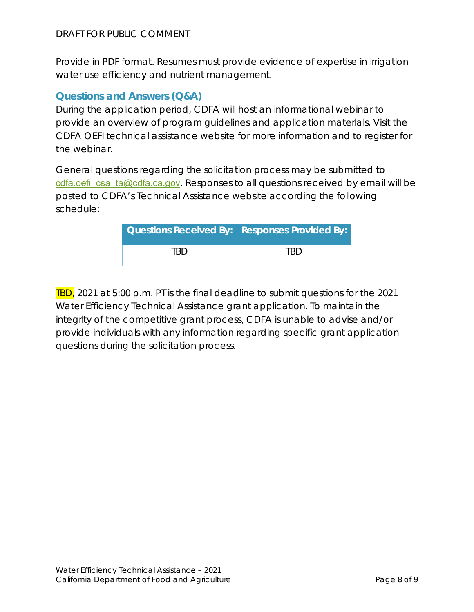Provide in PDF format. Resumes must provide evidence of expertise in irrigation water use efficiency and nutrient management.

#### **Questions and Answers (Q&A)**

During the application period, CDFA will host an informational webinar to provide an overview of program guidelines and application materials. Visit the CDFA OEFI technical assistance website for more information and to register for the webinar.

General questions regarding the solicitation process may be submitted to cdfa.oefi\_csa\_ta@cdfa.ca.gov. Responses to all questions received by email will be posted to CDFA's Technical Assistance website according the following schedule:

| <b>Questions Received By: Responses Provided By:</b> |     |
|------------------------------------------------------|-----|
| TRD                                                  | TRD |

TBD, 2021 at 5:00 p.m. PT is the final deadline to submit questions for the 2021 Water Efficiency Technical Assistance grant application. To maintain the integrity of the competitive grant process, CDFA is unable to advise and/or provide individuals with any information regarding specific grant application questions during the solicitation process.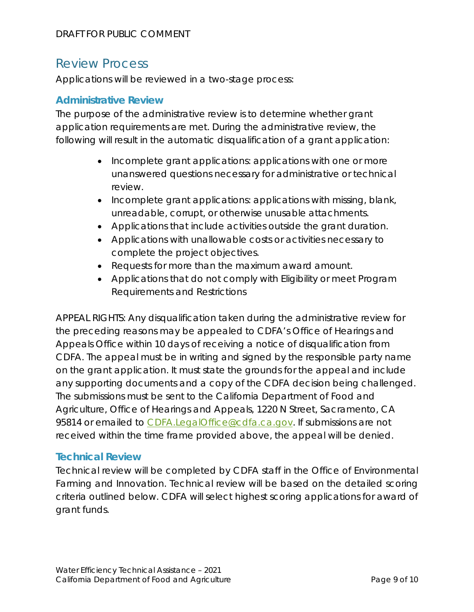## Review Process

Applications will be reviewed in a two-stage process:

#### **Administrative Review**

The purpose of the administrative review is to determine whether grant application requirements are met. During the administrative review, the following will result in the automatic disqualification of a grant application:

- Incomplete grant applications: applications with one or more unanswered questions necessary for administrative or technical review.
- Incomplete grant applications: applications with missing, blank, unreadable, corrupt, or otherwise unusable attachments.
- Applications that include activities outside the grant duration.
- Applications with unallowable costs or activities necessary to complete the project objectives.
- Requests for more than the maximum award amount.
- Applications that do not comply with Eligibility or meet Program Requirements and Restrictions

APPEAL RIGHTS: Any disqualification taken during the administrative review for the preceding reasons may be appealed to CDFA's Office of Hearings and Appeals Office within 10 days of receiving a notice of disqualification from CDFA. The appeal must be in writing and signed by the responsible party name on the grant application. It must state the grounds for the appeal and include any supporting documents and a copy of the CDFA decision being challenged. The submissions must be sent to the California Department of Food and Agriculture, Office of Hearings and Appeals, 1220 N Street, Sacramento, CA 95814 or emailed to CDFA.LegalOffice@cdfa.ca.gov. If submissions are not received within the time frame provided above, the appeal will be denied.

#### **Technical Review**

Technical review will be completed by CDFA staff in the Office of Environmental Farming and Innovation. Technical review will be based on the detailed scoring criteria outlined below. CDFA will select highest scoring applications for award of grant funds.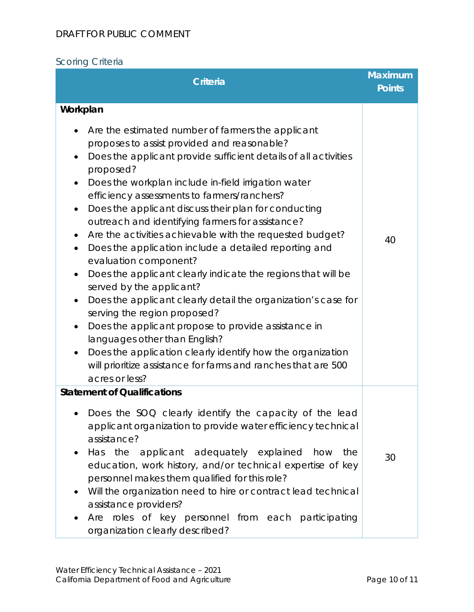#### DRAFT FOR PUBLIC COMMENT

## Scoring Criteria

| <b>Criteria</b>                                                                                                                                                                                                                                                                                                                                                                                                                                                                                                                                                                                                                                                                                                                                                                                                                                                                                                                                                                                                                                                                                                         | <b>Maximum</b><br><b>Points</b> |
|-------------------------------------------------------------------------------------------------------------------------------------------------------------------------------------------------------------------------------------------------------------------------------------------------------------------------------------------------------------------------------------------------------------------------------------------------------------------------------------------------------------------------------------------------------------------------------------------------------------------------------------------------------------------------------------------------------------------------------------------------------------------------------------------------------------------------------------------------------------------------------------------------------------------------------------------------------------------------------------------------------------------------------------------------------------------------------------------------------------------------|---------------------------------|
| Workplan<br>Are the estimated number of farmers the applicant<br>proposes to assist provided and reasonable?<br>Does the applicant provide sufficient details of all activities<br>$\bullet$<br>proposed?<br>Does the workplan include in-field irrigation water<br>$\bullet$<br>efficiency assessments to farmers/ranchers?<br>Does the applicant discuss their plan for conducting<br>$\bullet$<br>outreach and identifying farmers for assistance?<br>Are the activities achievable with the requested budget?<br>$\bullet$<br>Does the application include a detailed reporting and<br>$\bullet$<br>evaluation component?<br>Does the applicant clearly indicate the regions that will be<br>$\bullet$<br>served by the applicant?<br>Does the applicant clearly detail the organization's case for<br>$\bullet$<br>serving the region proposed?<br>Does the applicant propose to provide assistance in<br>$\bullet$<br>languages other than English?<br>Does the application clearly identify how the organization<br>$\bullet$<br>will prioritize assistance for farms and ranches that are 500<br>acres or less? | 40                              |
| <b>Statement of Qualifications</b><br>Does the SOQ clearly identify the capacity of the lead<br>applicant organization to provide water efficiency technical<br>assistance?<br>Has the applicant adequately explained<br>how<br>the<br>education, work history, and/or technical expertise of key<br>personnel makes them qualified for this role?<br>Will the organization need to hire or contract lead technical<br>assistance providers?<br>Are roles of key personnel from each participating<br>organization clearly described?                                                                                                                                                                                                                                                                                                                                                                                                                                                                                                                                                                                   | 30                              |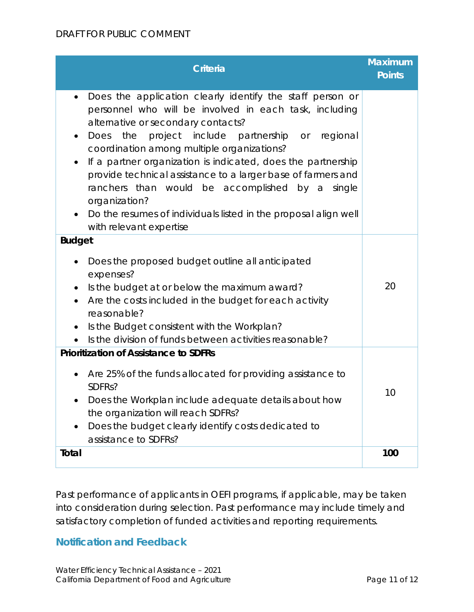| <b>Criteria</b>                                                                                                                                                                                                                                                                                                                                                                                                                                                                                                                                                                                                            | <b>Maximum</b><br><b>Points</b> |
|----------------------------------------------------------------------------------------------------------------------------------------------------------------------------------------------------------------------------------------------------------------------------------------------------------------------------------------------------------------------------------------------------------------------------------------------------------------------------------------------------------------------------------------------------------------------------------------------------------------------------|---------------------------------|
| Does the application clearly identify the staff person or<br>$\bullet$<br>personnel who will be involved in each task, including<br>alternative or secondary contacts?<br>project include partnership or regional<br>Does<br>the<br>$\bullet$<br>coordination among multiple organizations?<br>If a partner organization is indicated, does the partnership<br>$\bullet$<br>provide technical assistance to a larger base of farmers and<br>ranchers than would be accomplished by a<br>single<br>organization?<br>Do the resumes of individuals listed in the proposal align well<br>$\bullet$<br>with relevant expertise |                                 |
| <b>Budget</b><br>Does the proposed budget outline all anticipated<br>$\bullet$<br>expenses?<br>Is the budget at or below the maximum award?<br>$\bullet$<br>Are the costs included in the budget for each activity<br>reasonable?<br>Is the Budget consistent with the Workplan?<br>$\bullet$<br>Is the division of funds between activities reasonable?                                                                                                                                                                                                                                                                   | 20                              |
| <b>Prioritization of Assistance to SDFRs</b><br>Are 25% of the funds allocated for providing assistance to<br>SDFR <sub>s</sub> ?<br>Does the Workplan include adequate details about how<br>the organization will reach SDFRs?<br>Does the budget clearly identify costs dedicated to<br>assistance to SDFRs?                                                                                                                                                                                                                                                                                                             | 10                              |
| Total                                                                                                                                                                                                                                                                                                                                                                                                                                                                                                                                                                                                                      | 100                             |

Past performance of applicants in OEFI programs, if applicable, may be taken into consideration during selection. Past performance may include timely and satisfactory completion of funded activities and reporting requirements.

#### **Notification and Feedback**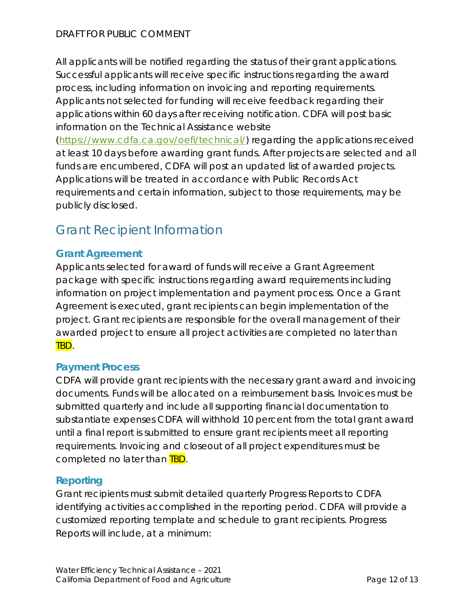All applicants will be notified regarding the status of their grant applications. Successful applicants will receive specific instructions regarding the award process, including information on invoicing and reporting requirements. Applicants not selected for funding will receive feedback regarding their applications within 60 days after receiving notification. CDFA will post basic information on the Technical Assistance website

(https://www.cdfa.ca.gov/oefi/technical/) regarding the applications received at least 10 days before awarding grant funds. After projects are selected and all funds are encumbered, CDFA will post an updated list of awarded projects. Applications will be treated in accordance with Public Records Act requirements and certain information, subject to those requirements, may be publicly disclosed.

# Grant Recipient Information

#### **Grant Agreement**

Applicants selected for award of funds will receive a Grant Agreement package with specific instructions regarding award requirements including information on project implementation and payment process. Once a Grant Agreement is executed, grant recipients can begin implementation of the project. Grant recipients are responsible for the overall management of their awarded project to ensure all project activities are completed no later than TBD.

#### **Payment Process**

CDFA will provide grant recipients with the necessary grant award and invoicing documents. Funds will be allocated on a reimbursement basis. Invoices must be submitted quarterly and include all supporting financial documentation to substantiate expenses CDFA will withhold 10 percent from the total grant award until a final report is submitted to ensure grant recipients meet all reporting requirements. Invoicing and closeout of all project expenditures must be completed no later than **TBD**.

#### **Reporting**

Grant recipients must submit detailed quarterly Progress Reports to CDFA identifying activities accomplished in the reporting period. CDFA will provide a customized reporting template and schedule to grant recipients. Progress Reports will include, at a minimum: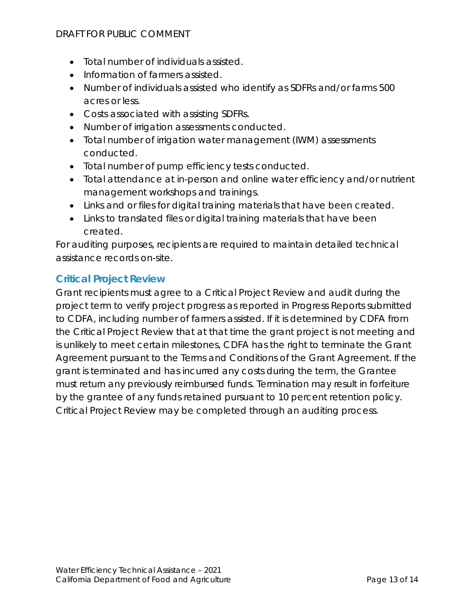#### DRAFT FOR PUBLIC COMMENT

- Total number of individuals assisted.
- Information of farmers assisted.
- Number of individuals assisted who identify as SDFRs and/or farms 500 acres or less.
- Costs associated with assisting SDFRs.
- Number of irrigation assessments conducted.
- Total number of irrigation water management (IWM) assessments conducted.
- Total number of pump efficiency tests conducted.
- Total attendance at in-person and online water efficiency and/or nutrient management workshops and trainings.
- Links and or files for digital training materials that have been created.
- Links to translated files or digital training materials that have been created.

For auditing purposes, recipients are required to maintain detailed technical assistance records on-site.

#### **Critical Project Review**

Grant recipients must agree to a Critical Project Review and audit during the project term to verify project progress as reported in Progress Reports submitted to CDFA, including number of farmers assisted. If it is determined by CDFA from the Critical Project Review that at that time the grant project is not meeting and is unlikely to meet certain milestones, CDFA has the right to terminate the Grant Agreement pursuant to the Terms and Conditions of the Grant Agreement. If the grant is terminated and has incurred any costs during the term, the Grantee must return any previously reimbursed funds. Termination may result in forfeiture by the grantee of any funds retained pursuant to 10 percent retention policy. Critical Project Review may be completed through an auditing process.